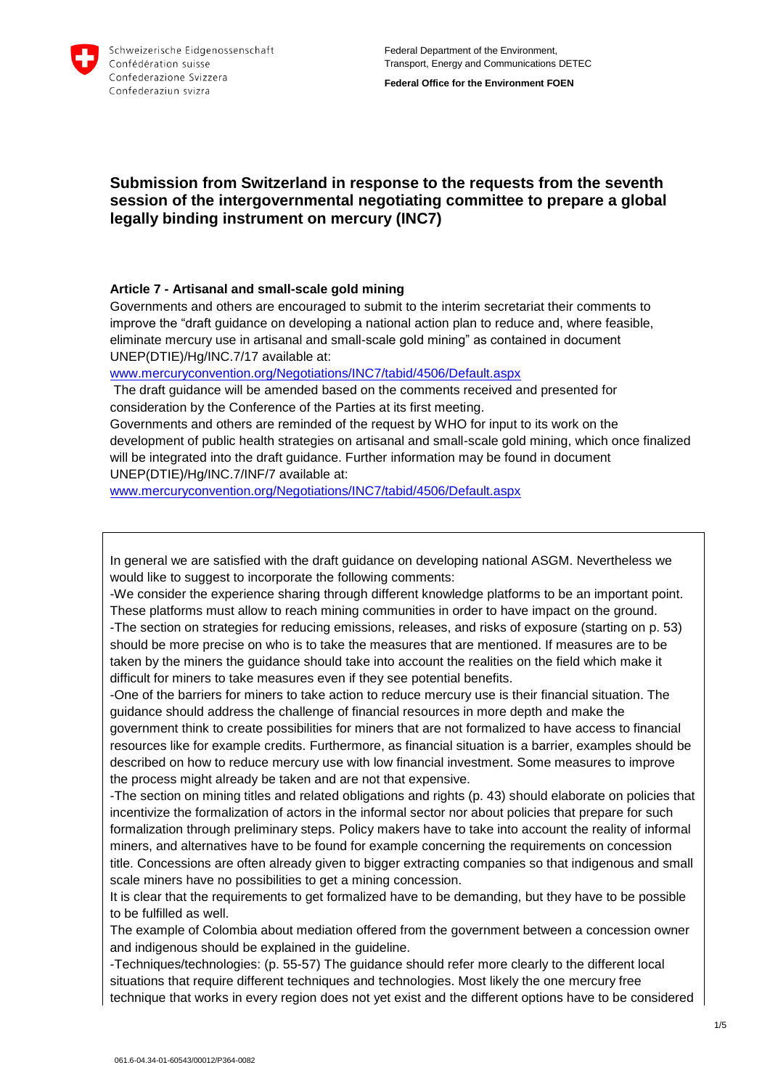

**Federal Office for the Environment FOEN**

# **Submission from Switzerland in response to the requests from the seventh session of the intergovernmental negotiating committee to prepare a global legally binding instrument on mercury (INC7)**

### **Article 7 - Artisanal and small-scale gold mining**

Governments and others are encouraged to submit to the interim secretariat their comments to improve the "draft guidance on developing a national action plan to reduce and, where feasible, eliminate mercury use in artisanal and small-scale gold mining" as contained in document UNEP(DTIE)/Hg/INC.7/17 available at:

[www.mercuryconvention.org/Negotiations/INC7/tabid/4506/Default.aspx](http://www.mercuryconvention.org/Negotiations/INC7/tabid/4506/Default.aspx)

The draft guidance will be amended based on the comments received and presented for consideration by the Conference of the Parties at its first meeting.

Governments and others are reminded of the request by WHO for input to its work on the development of public health strategies on artisanal and small-scale gold mining, which once finalized will be integrated into the draft guidance. Further information may be found in document UNEP(DTIE)/Hg/INC.7/INF/7 available at:

[www.mercuryconvention.org/Negotiations/INC7/tabid/4506/Default.aspx](http://www.mercuryconvention.org/Negotiations/INC7/tabid/4506/Default.aspx)

In general we are satisfied with the draft guidance on developing national ASGM. Nevertheless we would like to suggest to incorporate the following comments:

-We consider the experience sharing through different knowledge platforms to be an important point. These platforms must allow to reach mining communities in order to have impact on the ground.

-The section on strategies for reducing emissions, releases, and risks of exposure (starting on p. 53) should be more precise on who is to take the measures that are mentioned. If measures are to be taken by the miners the guidance should take into account the realities on the field which make it difficult for miners to take measures even if they see potential benefits.

-One of the barriers for miners to take action to reduce mercury use is their financial situation. The guidance should address the challenge of financial resources in more depth and make the government think to create possibilities for miners that are not formalized to have access to financial resources like for example credits. Furthermore, as financial situation is a barrier, examples should be described on how to reduce mercury use with low financial investment. Some measures to improve the process might already be taken and are not that expensive.

-The section on mining titles and related obligations and rights (p. 43) should elaborate on policies that incentivize the formalization of actors in the informal sector nor about policies that prepare for such formalization through preliminary steps. Policy makers have to take into account the reality of informal miners, and alternatives have to be found for example concerning the requirements on concession title. Concessions are often already given to bigger extracting companies so that indigenous and small scale miners have no possibilities to get a mining concession.

It is clear that the requirements to get formalized have to be demanding, but they have to be possible to be fulfilled as well.

The example of Colombia about mediation offered from the government between a concession owner and indigenous should be explained in the guideline.

-Techniques/technologies: (p. 55-57) The guidance should refer more clearly to the different local situations that require different techniques and technologies. Most likely the one mercury free technique that works in every region does not yet exist and the different options have to be considered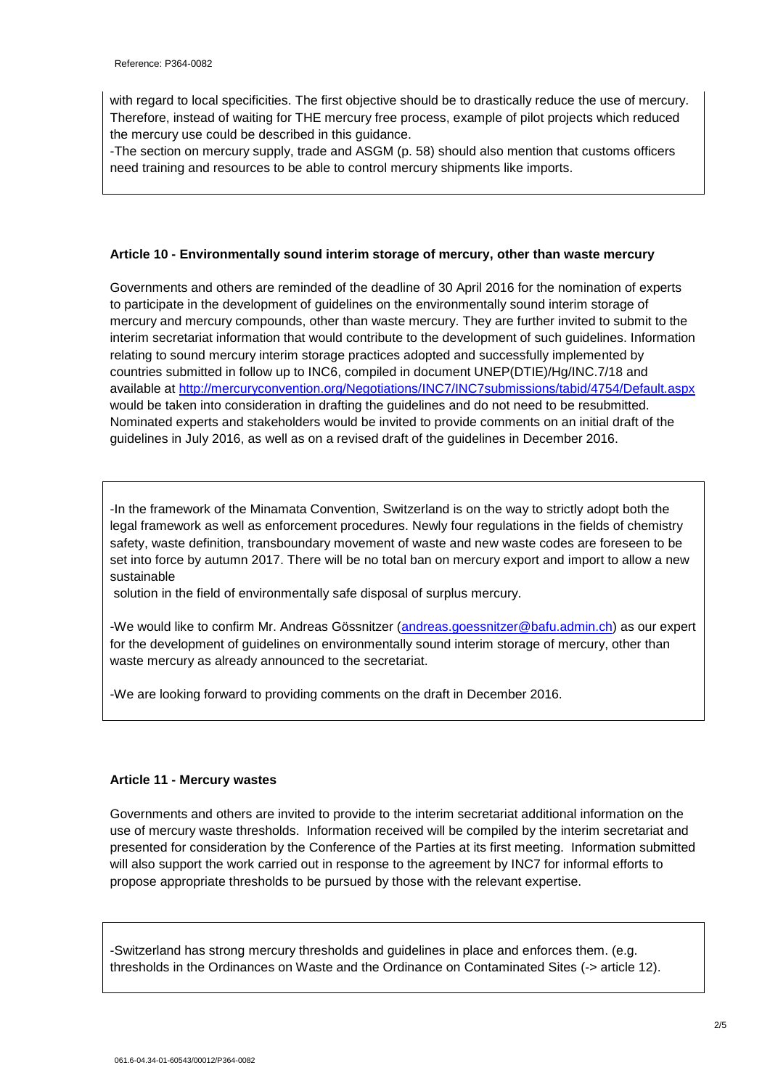with regard to local specificities. The first objective should be to drastically reduce the use of mercury. Therefore, instead of waiting for THE mercury free process, example of pilot projects which reduced the mercury use could be described in this guidance.

-The section on mercury supply, trade and ASGM (p. 58) should also mention that customs officers need training and resources to be able to control mercury shipments like imports.

## **Article 10 - Environmentally sound interim storage of mercury, other than waste mercury**

Governments and others are reminded of the deadline of 30 April 2016 for the nomination of experts to participate in the development of guidelines on the environmentally sound interim storage of mercury and mercury compounds, other than waste mercury. They are further invited to submit to the interim secretariat information that would contribute to the development of such guidelines. Information relating to sound mercury interim storage practices adopted and successfully implemented by countries submitted in follow up to INC6, compiled in document UNEP(DTIE)/Hg/INC.7/18 and available at<http://mercuryconvention.org/Negotiations/INC7/INC7submissions/tabid/4754/Default.aspx> would be taken into consideration in drafting the guidelines and do not need to be resubmitted. Nominated experts and stakeholders would be invited to provide comments on an initial draft of the guidelines in July 2016, as well as on a revised draft of the guidelines in December 2016.

-In the framework of the Minamata Convention, Switzerland is on the way to strictly adopt both the legal framework as well as enforcement procedures. Newly four regulations in the fields of chemistry safety, waste definition, transboundary movement of waste and new waste codes are foreseen to be set into force by autumn 2017. There will be no total ban on mercury export and import to allow a new sustainable

solution in the field of environmentally safe disposal of surplus mercury.

-We would like to confirm Mr. Andreas Gössnitzer [\(andreas.goessnitzer@bafu.admin.ch\)](mailto:andreas.goessnitzer@bafu.admin.ch) as our expert for the development of guidelines on environmentally sound interim storage of mercury, other than waste mercury as already announced to the secretariat.

-We are looking forward to providing comments on the draft in December 2016.

#### **Article 11 - Mercury wastes**

Governments and others are invited to provide to the interim secretariat additional information on the use of mercury waste thresholds. Information received will be compiled by the interim secretariat and presented for consideration by the Conference of the Parties at its first meeting. Information submitted will also support the work carried out in response to the agreement by INC7 for informal efforts to propose appropriate thresholds to be pursued by those with the relevant expertise.

-Switzerland has strong mercury thresholds and guidelines in place and enforces them. (e.g. thresholds in the Ordinances on Waste and the Ordinance on Contaminated Sites (-> article 12).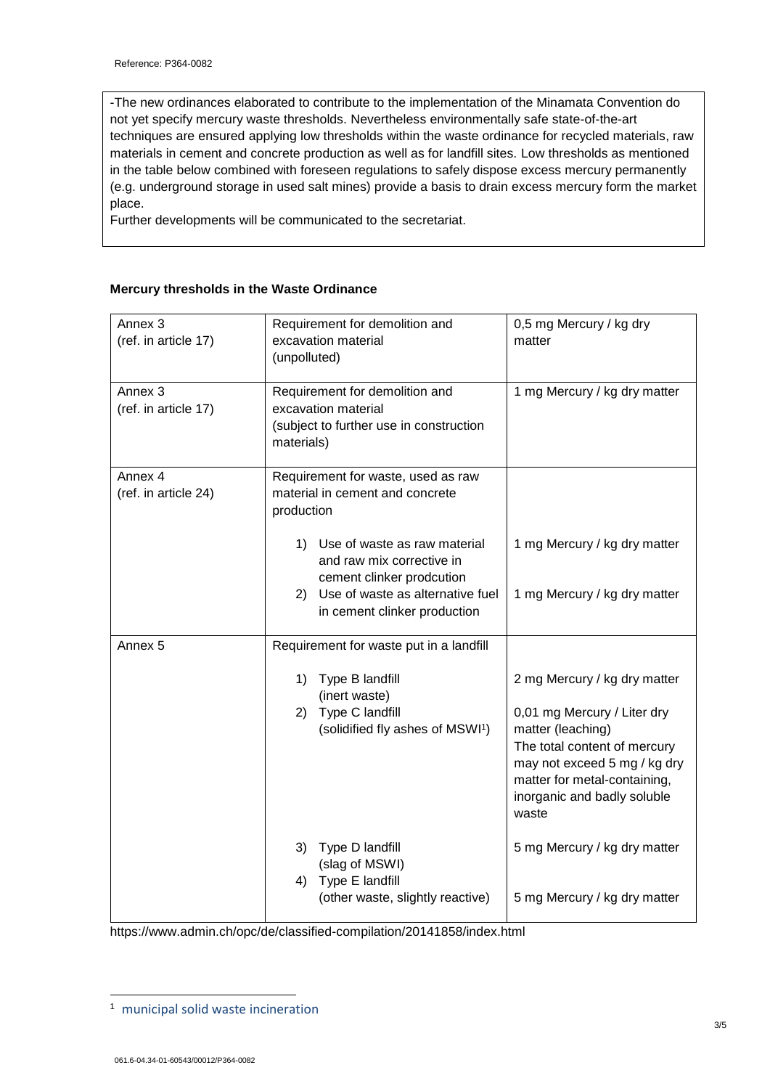-The new ordinances elaborated to contribute to the implementation of the Minamata Convention do not yet specify mercury waste thresholds. Nevertheless environmentally safe state-of-the-art techniques are ensured applying low thresholds within the waste ordinance for recycled materials, raw materials in cement and concrete production as well as for landfill sites. Low thresholds as mentioned in the table below combined with foreseen regulations to safely dispose excess mercury permanently (e.g. underground storage in used salt mines) provide a basis to drain excess mercury form the market place.

Further developments will be communicated to the secretariat.

### **Mercury thresholds in the Waste Ordinance**

| Annex <sub>3</sub><br>(ref. in article 17) | Requirement for demolition and<br>excavation material<br>(unpolluted)                                          | 0,5 mg Mercury / kg dry<br>matter                                                                                                                                                        |
|--------------------------------------------|----------------------------------------------------------------------------------------------------------------|------------------------------------------------------------------------------------------------------------------------------------------------------------------------------------------|
| Annex <sub>3</sub><br>(ref. in article 17) | Requirement for demolition and<br>excavation material<br>(subject to further use in construction<br>materials) | 1 mg Mercury / kg dry matter                                                                                                                                                             |
| Annex 4<br>(ref. in article 24)            | Requirement for waste, used as raw<br>material in cement and concrete<br>production                            |                                                                                                                                                                                          |
|                                            | 1) Use of waste as raw material<br>and raw mix corrective in<br>cement clinker prodcution                      | 1 mg Mercury / kg dry matter                                                                                                                                                             |
|                                            | 2) Use of waste as alternative fuel<br>in cement clinker production                                            | 1 mg Mercury / kg dry matter                                                                                                                                                             |
| Annex <sub>5</sub>                         | Requirement for waste put in a landfill                                                                        |                                                                                                                                                                                          |
|                                            | 1)<br>Type B landfill<br>(inert waste)                                                                         | 2 mg Mercury / kg dry matter                                                                                                                                                             |
|                                            | Type C landfill<br>2)<br>(solidified fly ashes of MSWI <sup>1</sup> )                                          | 0,01 mg Mercury / Liter dry<br>matter (leaching)<br>The total content of mercury<br>may not exceed 5 mg / kg dry<br>matter for metal-containing,<br>inorganic and badly soluble<br>waste |
|                                            | 3) Type D landfill<br>(slag of MSWI)                                                                           | 5 mg Mercury / kg dry matter                                                                                                                                                             |
|                                            | 4) Type E landfill<br>(other waste, slightly reactive)                                                         | 5 mg Mercury / kg dry matter                                                                                                                                                             |

https://www.admin.ch/opc/de/classified-compilation/20141858/index.html

1

<sup>1</sup> municipal solid waste incineration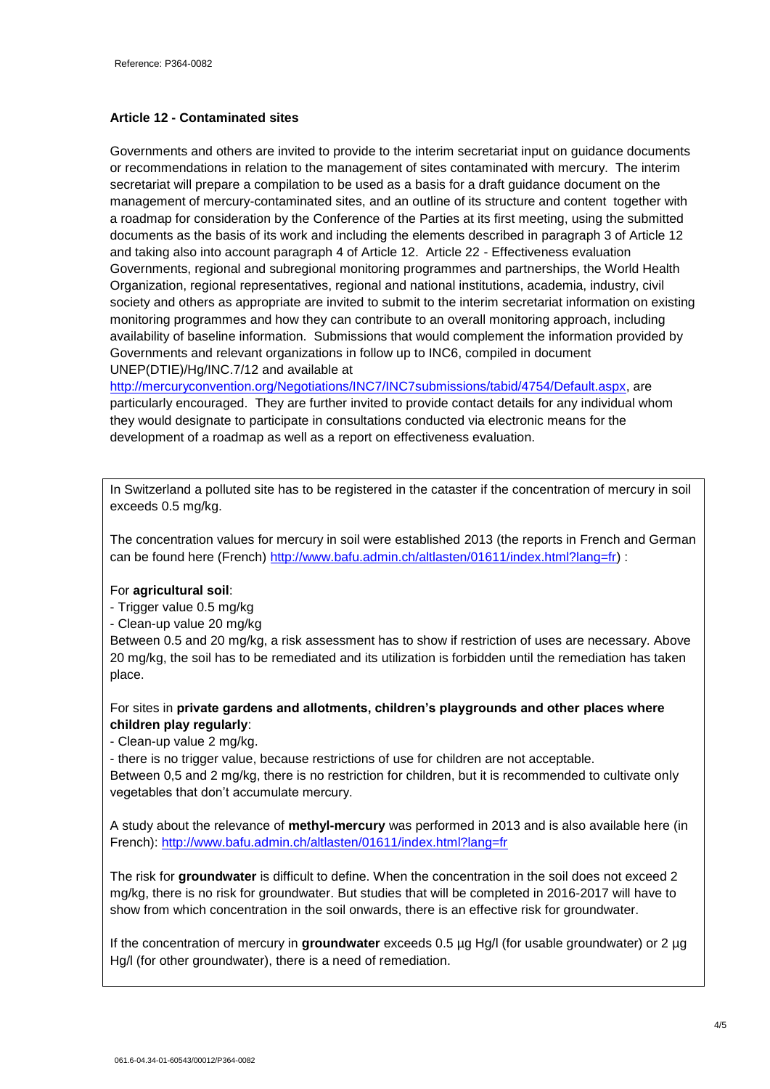## **Article 12 - Contaminated sites**

Governments and others are invited to provide to the interim secretariat input on guidance documents or recommendations in relation to the management of sites contaminated with mercury. The interim secretariat will prepare a compilation to be used as a basis for a draft guidance document on the management of mercury-contaminated sites, and an outline of its structure and content together with a roadmap for consideration by the Conference of the Parties at its first meeting, using the submitted documents as the basis of its work and including the elements described in paragraph 3 of Article 12 and taking also into account paragraph 4 of Article 12. Article 22 - Effectiveness evaluation Governments, regional and subregional monitoring programmes and partnerships, the World Health Organization, regional representatives, regional and national institutions, academia, industry, civil society and others as appropriate are invited to submit to the interim secretariat information on existing monitoring programmes and how they can contribute to an overall monitoring approach, including availability of baseline information. Submissions that would complement the information provided by Governments and relevant organizations in follow up to INC6, compiled in document UNEP(DTIE)/Hg/INC.7/12 and available at

[http://mercuryconvention.org/Negotiations/INC7/INC7submissions/tabid/4754/Default.aspx,](http://mercuryconvention.org/Negotiations/INC7/INC7submissions/tabid/4754/Default.aspx) are particularly encouraged. They are further invited to provide contact details for any individual whom they would designate to participate in consultations conducted via electronic means for the development of a roadmap as well as a report on effectiveness evaluation.

In Switzerland a polluted site has to be registered in the cataster if the concentration of mercury in soil exceeds 0.5 mg/kg.

The concentration values for mercury in soil were established 2013 (the reports in French and German can be found here (French) [http://www.bafu.admin.ch/altlasten/01611/index.html?lang=fr\)](http://www.bafu.admin.ch/altlasten/01611/index.html?lang=fr) :

## For **agricultural soil**:

- Trigger value 0.5 mg/kg
- Clean-up value 20 mg/kg

Between 0.5 and 20 mg/kg, a risk assessment has to show if restriction of uses are necessary. Above 20 mg/kg, the soil has to be remediated and its utilization is forbidden until the remediation has taken place.

For sites in **private gardens and allotments, children's playgrounds and other places where children play regularly**:

- Clean-up value 2 mg/kg.

- there is no trigger value, because restrictions of use for children are not acceptable.

Between 0,5 and 2 mg/kg, there is no restriction for children, but it is recommended to cultivate only vegetables that don't accumulate mercury.

A study about the relevance of **methyl-mercury** was performed in 2013 and is also available here (in French):<http://www.bafu.admin.ch/altlasten/01611/index.html?lang=fr>

The risk for **groundwater** is difficult to define. When the concentration in the soil does not exceed 2 mg/kg, there is no risk for groundwater. But studies that will be completed in 2016-2017 will have to show from which concentration in the soil onwards, there is an effective risk for groundwater.

If the concentration of mercury in **groundwater** exceeds 0.5 µg Hg/l (for usable groundwater) or 2 µg Hg/l (for other groundwater), there is a need of remediation.